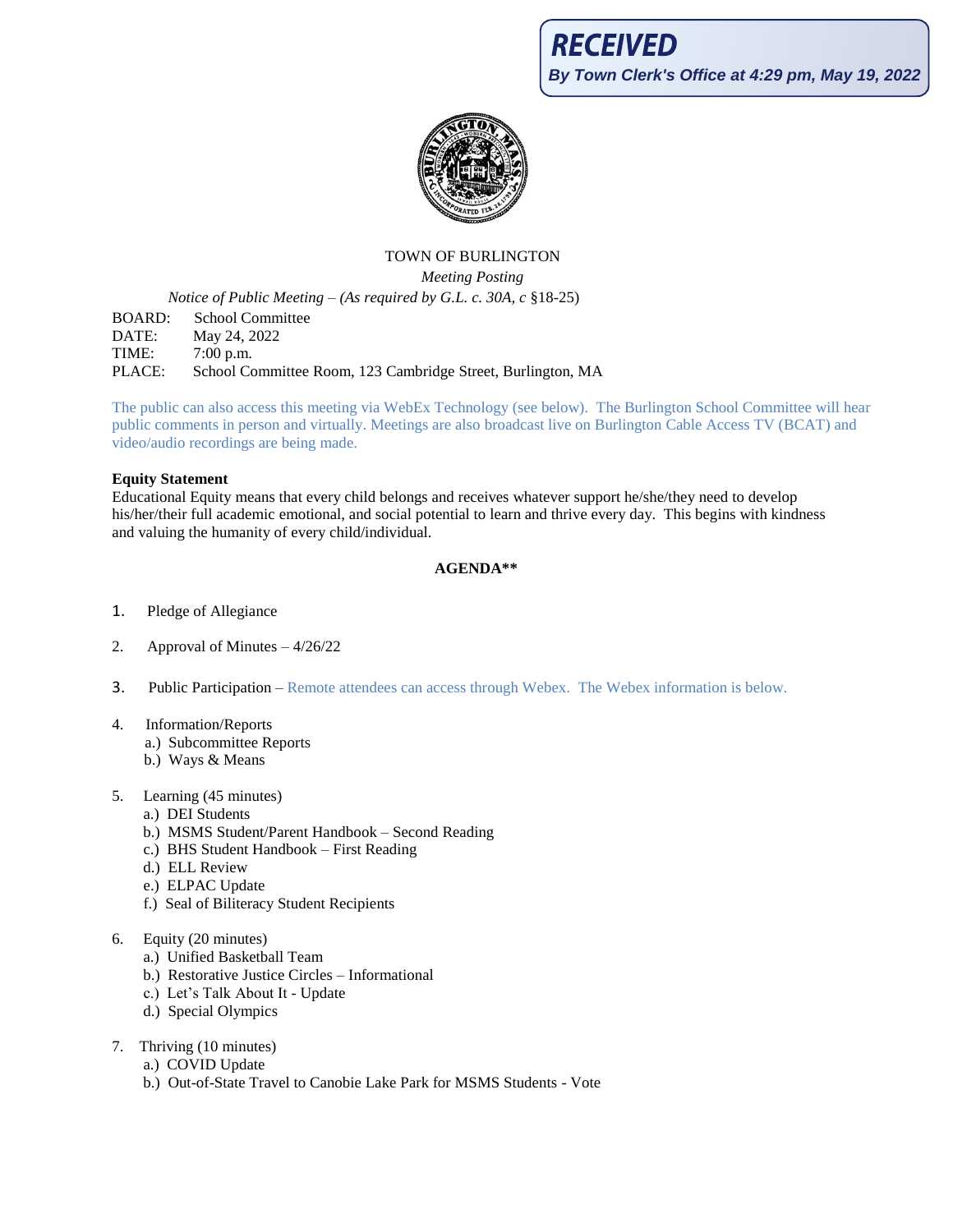**By Town Clerk's Office at 4:29 pm, May 19, 2022**



# TOWN OF BURLINGTON

*Meeting Posting*

*Notice of Public Meeting – (As required by G.L. c. 30A, c* §18-25)

BOARD: School Committee DATE: May 24, 2022 TIME: 7:00 p.m. PLACE: School Committee Room, 123 Cambridge Street, Burlington, MA

The public can also access this meeting via WebEx Technology (see below). The Burlington School Committee will hear public comments in person and virtually. Meetings are also broadcast live on Burlington Cable Access TV (BCAT) and video/audio recordings are being made.

#### **Equity Statement**

Educational Equity means that every child belongs and receives whatever support he/she/they need to develop his/her/their full academic emotional, and social potential to learn and thrive every day. This begins with kindness and valuing the humanity of every child/individual.

#### **AGENDA\*\***

- 1. Pledge of Allegiance
- 2. Approval of Minutes 4/26/22
- 3. Public Participation Remote attendees can access through Webex. The Webex information is below.
- 4. Information/Reports
	- a.) Subcommittee Reports
	- b.) Ways & Means
- 5. Learning (45 minutes)
	- a.) DEI Students
	- b.) MSMS Student/Parent Handbook Second Reading
	- c.) BHS Student Handbook First Reading
	- d.) ELL Review
	- e.) ELPAC Update
	- f.) Seal of Biliteracy Student Recipients
- 6. Equity (20 minutes)
	- a.) Unified Basketball Team
	- b.) Restorative Justice Circles Informational
	- c.) Let's Talk About It Update
	- d.) Special Olympics
- 7. Thriving (10 minutes)
	- a.) COVID Update
	- b.) Out-of-State Travel to Canobie Lake Park for MSMS Students Vote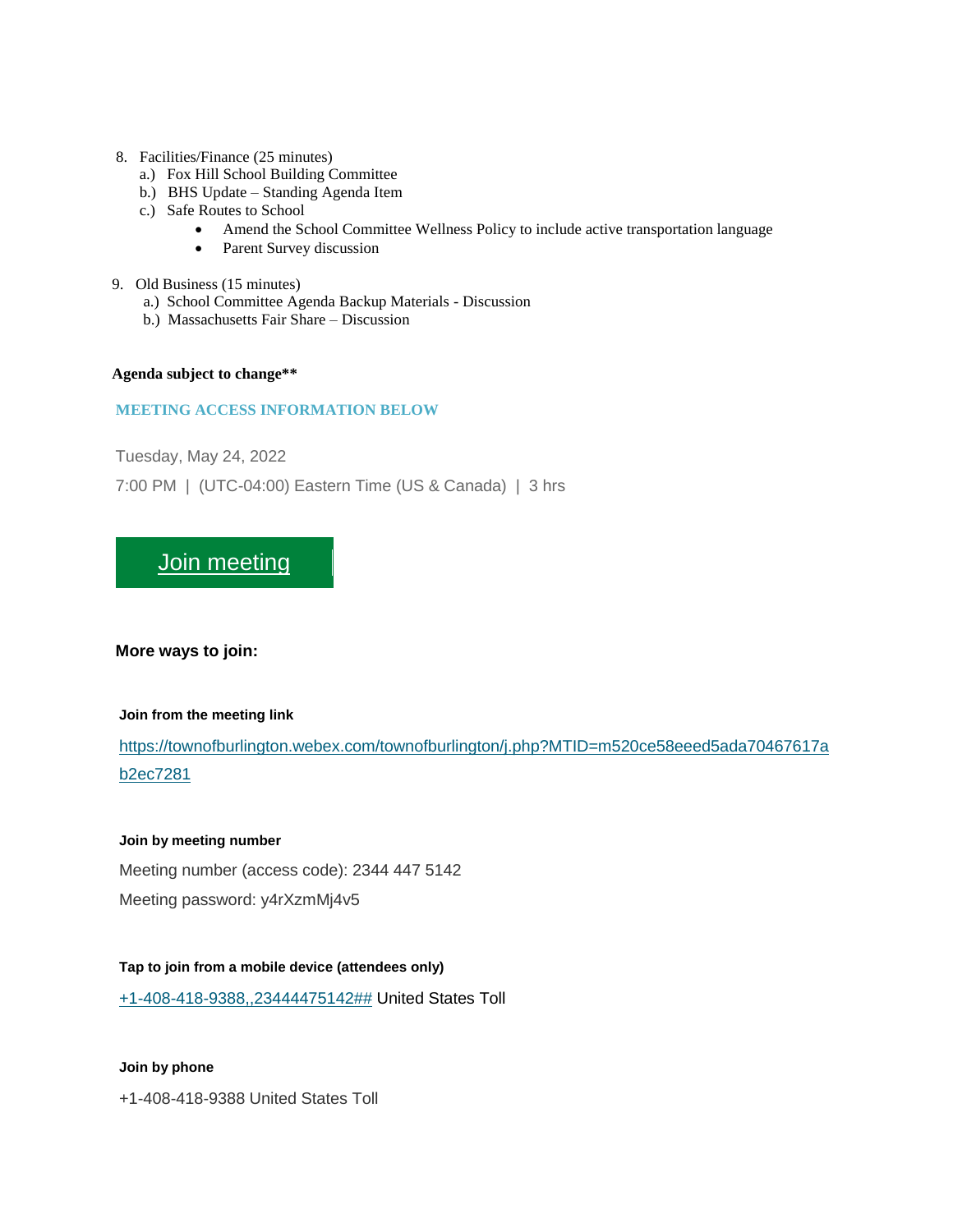#### 8. Facilities/Finance (25 minutes)

- a.) Fox Hill School Building Committee
- b.) BHS Update Standing Agenda Item
- c.) Safe Routes to School
	- Amend the School Committee Wellness Policy to include active transportation language
	- Parent Survey discussion
- 9. Old Business (15 minutes)
	- a.) School Committee Agenda Backup Materials Discussion
	- b.) Massachusetts Fair Share Discussion

#### **Agenda subject to change\*\***

#### **MEETING ACCESS INFORMATION BELOW**

Tuesday, May 24, 2022

7:00 PM | (UTC-04:00) Eastern Time (US & Canada) | 3 hrs

## [Join meeting](https://townofburlington.webex.com/townofburlington/j.php?MTID=m520ce58eeed5ada70467617ab2ec7281)

**More ways to join:**

#### **Join from the meeting link**

[https://townofburlington.webex.com/townofburlington/j.php?MTID=m520ce58eeed5ada70467617a](https://townofburlington.webex.com/townofburlington/j.php?MTID=m520ce58eeed5ada70467617ab2ec7281) [b2ec7281](https://townofburlington.webex.com/townofburlington/j.php?MTID=m520ce58eeed5ada70467617ab2ec7281)

#### **Join by meeting number**

Meeting number (access code): 2344 447 5142

Meeting password: y4rXzmMj4v5

#### **Tap to join from a mobile device (attendees only)**

[+1-408-418-9388,,23444475142##](tel:%2B1-408-418-9388,,*01*23444475142%23%23*01*) United States Toll

#### **Join by phone**

+1-408-418-9388 United States Toll